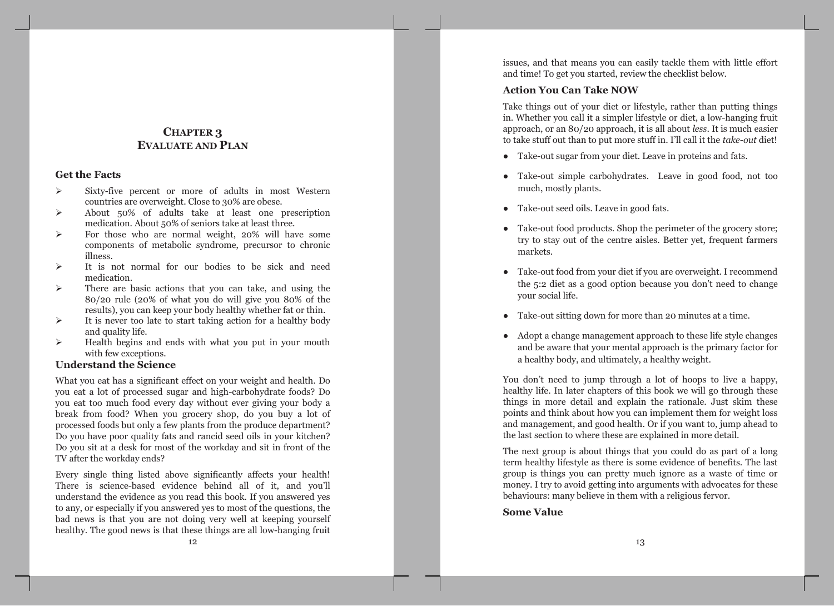# **CHAPTER 3 EVALUATE AND PLAN**

### **Get the Facts**

- $\blacktriangleright$ Sixty-five percent or more of adults in most Western countries are overweight. Close to 30% are obese.
- About 50% of adults take at least one prescription  $\blacktriangleright$ medication. About 50% of seniors take at least three.
- For those who are normal weight, 20% will have some  $\blacktriangleright$ components of metabolic syndrome, precursor to chronic illness.
- $\blacktriangleright$ It is not normal for our bodies to be sick and need medication.
- There are basic actions that you can take, and using the  $\blacktriangleright$  $80/20$  rule (20% of what you do will give you 80% of the results), you can keep your body healthy whether fat or thin.
- It is never too late to start taking action for a healthy body  $\blacktriangleright$ and quality life.
- Health begins and ends with what you put in your mouth  $\blacktriangleright$ with few exceptions.

## **Understand the Science**

What you eat has a significant effect on your weight and health. Do you eat a lot of processed sugar and high-carbohydrate foods? Do you eat too much food every day without ever giving your body a break from food? When you grocery shop, do you buy a lot of processed foods but only a few plants from the produce department? Do you have poor quality fats and rancid seed oils in your kitchen? Do you sit at a desk for most of the workday and sit in front of the TV after the workday ends?

Every single thing listed above significantly affects your health! There is science-based evidence behind all of it, and you'll understand the evidence as you read this book. If you answered yes to any, or especially if you answered yes to most of the questions, the bad news is that you are not doing very well at keeping yourself healthy. The good news is that these things are all low-hanging fruit issues, and that means you can easily tackle them with little effort and time! To get you started, review the checklist below.

### **Action You Can Take NOW**

Take things out of your diet or lifestyle, rather than putting things in. Whether you call it a simpler lifestyle or diet, a low-hanging fruit approach, or an 80/20 approach, it is all about *less*. It is much easier to take stuff out than to put more stuff in. I'll call it the take-out diet!

- Take-out sugar from your diet. Leave in proteins and fats.
- Take-out simple carbohydrates. Leave in good food, not too  $\bullet$ much, mostly plants.
- Take-out seed oils. Leave in good fats.
- Take-out food products. Shop the perimeter of the grocery store; try to stay out of the centre aisles. Better yet, frequent farmers markets.
- Take-out food from your diet if you are overweight. I recommend the 5:2 diet as a good option because you don't need to change your social life.
- Take-out sitting down for more than 20 minutes at a time.
- Adopt a change management approach to these life style changes and be aware that your mental approach is the primary factor for a healthy body, and ultimately, a healthy weight.

You don't need to jump through a lot of hoops to live a happy, healthy life. In later chapters of this book we will go through these things in more detail and explain the rationale. Just skim these points and think about how you can implement them for weight loss and management, and good health. Or if you want to, jump ahead to the last section to where these are explained in more detail.

The next group is about things that you could do as part of a long term healthy lifestyle as there is some evidence of benefits. The last group is things you can pretty much ignore as a waste of time or money. I try to avoid getting into arguments with advocates for these behaviours: many believe in them with a religious fervor.

**Some Value**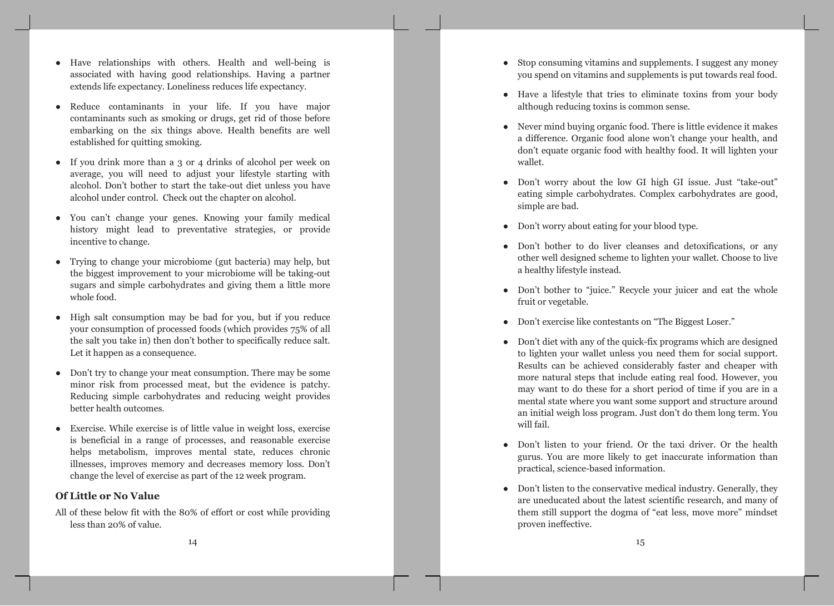- Have relationships with others. Health and well-being is associated with having good relationships. Having a partner extends life expectancy. Loneliness reduces life expectancy.
- Reduce contaminants in your life. If you have major contaminants such as smoking or drugs, get rid of those before embarking on the six things above. Health benefits are well established for quitting smoking.
- If you drink more than a  $3$  or  $4$  drinks of alcohol per week on average, you will need to adjust your lifestyle starting with alcohol. Don't bother to start the take-out diet unless you have alcohol under control. Check out the chapter on alcohol.
- You can't change your genes. Knowing your family medical history might lead to preventative strategies, or provide incentive to change.
- Trying to change your microbiome (gut bacteria) may help, but the biggest improvement to your microbiome will be taking-out sugars and simple carbohydrates and giving them a little more whole food.
- High salt consumption may be bad for you, but if you reduce your consumption of processed foods (which provides 75% of all the salt you take in) then don't bother to specifically reduce salt. Let it happen as a consequence.
- Don't try to change your meat consumption. There may be some minor risk from processed meat, but the evidence is patchy. Reducing simple carbohydrates and reducing weight provides better health outcomes.
- Exercise. While exercise is of little value in weight loss, exercise is beneficial in a range of processes, and reasonable exercise helps metabolism, improves mental state, reduces chronic illnesses, improves memory and decreases memory loss. Don't change the level of exercise as part of the 12 week program.

### **Of Little or No Value**

All of these below fit with the 80% of effort or cost while providing less than 20% of value.

- Stop consuming vitamins and supplements. I suggest any money you spend on vitamins and supplements is put towards real food.
- Have a lifestyle that tries to eliminate toxins from your body although reducing toxins is common sense.
- Never mind buying organic food. There is little evidence it makes a difference. Organic food alone won't change your health, and don't equate organic food with healthy food. It will lighten your wallet.
- Don't worry about the low GI high GI issue. Just "take-out" eating simple carbohydrates. Complex carbohydrates are good, simple are bad.
- Don't worry about eating for your blood type.
- Don't bother to do liver cleanses and detoxifications, or any other well designed scheme to lighten your wallet. Choose to live a healthy lifestyle instead.
- Don't bother to "juice." Recycle your juicer and eat the whole fruit or vegetable.
- Don't exercise like contestants on "The Biggest Loser."  $\bullet$
- Don't diet with any of the quick-fix programs which are designed to lighten your wallet unless you need them for social support. Results can be achieved considerably faster and cheaper with more natural steps that include eating real food. However, you may want to do these for a short period of time if you are in a mental state where you want some support and structure around an initial weigh loss program. Just don't do them long term. You will fail.
- Don't listen to your friend. Or the taxi driver. Or the health gurus. You are more likely to get inaccurate information than practical, science-based information.
- Don't listen to the conservative medical industry. Generally, they are uneducated about the latest scientific research, and many of them still support the dogma of "eat less, move more" mindset proven ineffective.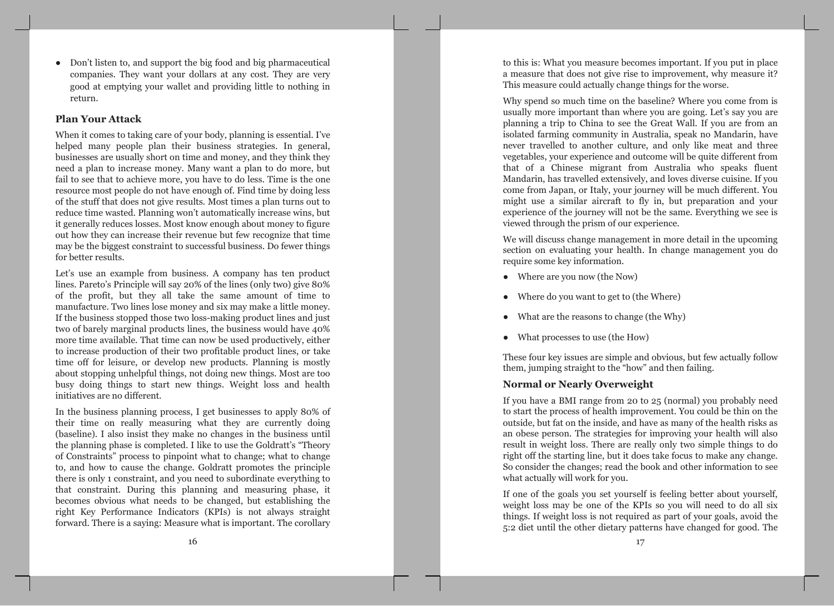• Don't listen to, and support the big food and big pharmaceutical companies. They want your dollars at any cost. They are very good at emptying your wallet and providing little to nothing in return.

#### **Plan Your Attack**

When it comes to taking care of your body, planning is essential. I've helped many people plan their business strategies. In general, businesses are usually short on time and money, and they think they need a plan to increase money. Many want a plan to do more, but fail to see that to achieve more, you have to do less. Time is the one resource most people do not have enough of. Find time by doing less of the stuff that does not give results. Most times a plan turns out to reduce time wasted. Planning won't automatically increase wins, but it generally reduces losses. Most know enough about money to figure out how they can increase their revenue but few recognize that time may be the biggest constraint to successful business. Do fewer things for better results.

Let's use an example from business. A company has ten product lines. Pareto's Principle will say 20% of the lines (only two) give 80% of the profit, but they all take the same amount of time to manufacture. Two lines lose money and six may make a little money. If the business stopped those two loss-making product lines and just two of barely marginal products lines, the business would have 40% more time available. That time can now be used productively, either to increase production of their two profitable product lines, or take time off for leisure, or develop new products. Planning is mostly about stopping unhelpful things, not doing new things. Most are too busy doing things to start new things. Weight loss and health initiatives are no different.

In the business planning process, I get businesses to apply 80% of their time on really measuring what they are currently doing (baseline). I also insist they make no changes in the business until the planning phase is completed. I like to use the Goldratt's "Theory of Constraints" process to pinpoint what to change; what to change to, and how to cause the change. Goldratt promotes the principle there is only 1 constraint, and you need to subordinate everything to that constraint. During this planning and measuring phase, it becomes obvious what needs to be changed, but establishing the right Key Performance Indicators (KPIs) is not always straight forward. There is a saying: Measure what is important. The corollary

to this is: What you measure becomes important. If you put in place a measure that does not give rise to improvement, why measure it? This measure could actually change things for the worse.

Why spend so much time on the baseline? Where you come from is usually more important than where you are going. Let's say you are planning a trip to China to see the Great Wall. If you are from an isolated farming community in Australia, speak no Mandarin, have never travelled to another culture, and only like meat and three vegetables, your experience and outcome will be quite different from that of a Chinese migrant from Australia who speaks fluent Mandarin, has travelled extensively, and loves diverse cuisine. If you come from Japan, or Italy, your journey will be much different. You might use a similar aircraft to fly in, but preparation and your experience of the journey will not be the same. Everything we see is viewed through the prism of our experience.

We will discuss change management in more detail in the upcoming section on evaluating your health. In change management you do require some key information.

- $\bullet$  Where are you now (the Now)
- Where do you want to get to (the Where)
- What are the reasons to change (the Why)
- What processes to use (the How)

These four key issues are simple and obvious, but few actually follow them, jumping straight to the "how" and then failing.

## **Normal or Nearly Overweight**

If you have a BMI range from 20 to 25 (normal) you probably need to start the process of health improvement. You could be thin on the outside, but fat on the inside, and have as many of the health risks as an obese person. The strategies for improving your health will also result in weight loss. There are really only two simple things to do right off the starting line, but it does take focus to make any change. So consider the changes; read the book and other information to see what actually will work for you.

If one of the goals you set yourself is feeling better about yourself, weight loss may be one of the KPIs so you will need to do all six things. If weight loss is not required as part of your goals, avoid the 5:2 diet until the other dietary patterns have changed for good. The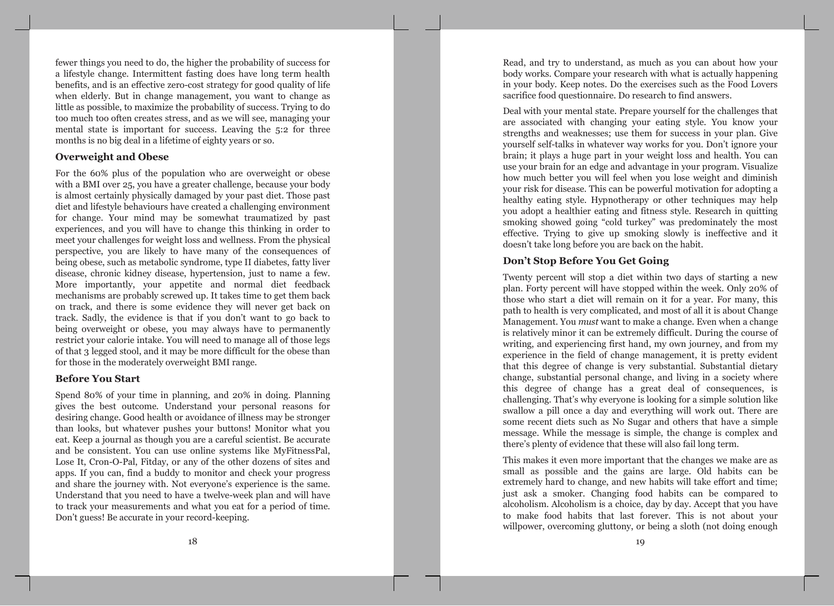fewer things you need to do, the higher the probability of success for a lifestyle change. Intermittent fasting does have long term health benefits, and is an effective zero-cost strategy for good quality of life when elderly. But in change management, you want to change as little as possible, to maximize the probability of success. Trying to do too much too often creates stress, and as we will see, managing your mental state is important for success. Leaving the 5:2 for three months is no big deal in a lifetime of eighty years or so.

## **Overweight and Obese**

For the 60% plus of the population who are overweight or obese with a BMI over 25, you have a greater challenge, because your body is almost certainly physically damaged by your past diet. Those past diet and lifestyle behaviours have created a challenging environment for change. Your mind may be somewhat traumatized by past experiences, and you will have to change this thinking in order to meet your challenges for weight loss and wellness. From the physical perspective, you are likely to have many of the consequences of being obese, such as metabolic syndrome, type II diabetes, fatty liver disease, chronic kidney disease, hypertension, just to name a few. More importantly, your appetite and normal diet feedback mechanisms are probably screwed up. It takes time to get them back on track, and there is some evidence they will never get back on track. Sadly, the evidence is that if you don't want to go back to being overweight or obese, you may always have to permanently restrict your calorie intake. You will need to manage all of those legs of that 3 legged stool, and it may be more difficult for the obese than for those in the moderately overweight BMI range.

#### **Before You Start**

Spend 80% of your time in planning, and 20% in doing. Planning gives the best outcome. Understand your personal reasons for desiring change. Good health or avoidance of illness may be stronger than looks, but whatever pushes your buttons! Monitor what you eat. Keep a journal as though you are a careful scientist. Be accurate and be consistent. You can use online systems like MyFitnessPal, Lose It, Cron-O-Pal, Fitday, or any of the other dozens of sites and apps. If you can, find a buddy to monitor and check your progress and share the journey with. Not everyone's experience is the same. Understand that you need to have a twelve-week plan and will have to track your measurements and what you eat for a period of time. Don't guess! Be accurate in your record-keeping.

Read, and try to understand, as much as you can about how your body works. Compare your research with what is actually happening in your body. Keep notes. Do the exercises such as the Food Lovers sacrifice food questionnaire. Do research to find answers.

Deal with your mental state. Prepare yourself for the challenges that are associated with changing your eating style. You know your strengths and weaknesses; use them for success in your plan. Give yourself self-talks in whatever way works for you. Don't ignore your brain; it plays a huge part in your weight loss and health. You can use your brain for an edge and advantage in your program. Visualize how much better you will feel when you lose weight and diminish your risk for disease. This can be powerful motivation for adopting a healthy eating style. Hypnotherapy or other techniques may help you adopt a healthier eating and fitness style. Research in quitting smoking showed going "cold turkey" was predominately the most effective. Trying to give up smoking slowly is ineffective and it doesn't take long before you are back on the habit.

## Don't Stop Before You Get Going

Twenty percent will stop a diet within two days of starting a new plan. Forty percent will have stopped within the week. Only 20% of those who start a diet will remain on it for a year. For many, this path to health is very complicated, and most of all it is about Change Management. You *must* want to make a change. Even when a change is relatively minor it can be extremely difficult. During the course of writing, and experiencing first hand, my own journey, and from my experience in the field of change management, it is pretty evident that this degree of change is very substantial. Substantial dietary change, substantial personal change, and living in a society where this degree of change has a great deal of consequences, is challenging. That's why everyone is looking for a simple solution like swallow a pill once a day and everything will work out. There are some recent diets such as No Sugar and others that have a simple message. While the message is simple, the change is complex and there's plenty of evidence that these will also fail long term.

This makes it even more important that the changes we make are as small as possible and the gains are large. Old habits can be extremely hard to change, and new habits will take effort and time; just ask a smoker. Changing food habits can be compared to alcoholism. Alcoholism is a choice, day by day. Accept that you have to make food habits that last forever. This is not about your willpower, overcoming gluttony, or being a sloth (not doing enough